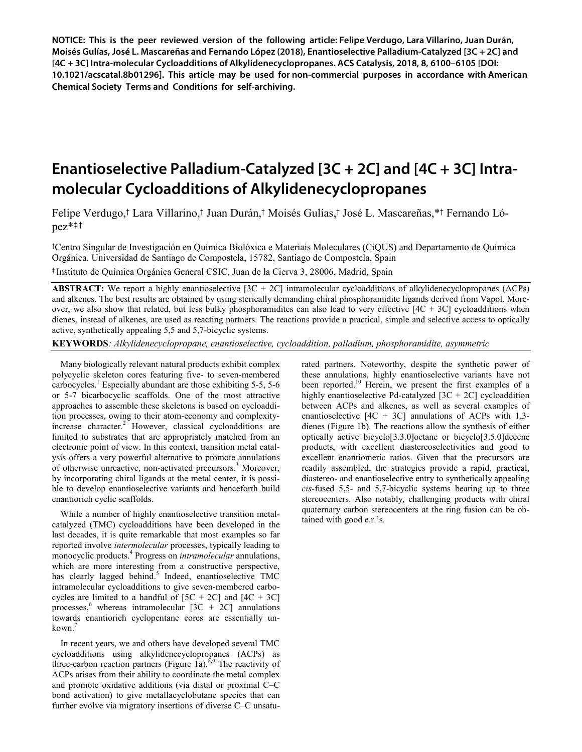**NOTICE: This is the peer reviewed version of the following article: Felipe Verdugo, Lara Villarino, Juan Durán, Moisés Gulías, José L. Mascareñas and Fernando López (2018), Enantioselective Palladium-Catalyzed [3C + 2C] and [4C + 3C] Intra-molecular Cycloadditions of Alkylidenecyclopropanes. ACS Catalysis, 2018, 8, 6100–6105 [DOI: 10.1021/acscatal.8b01296]. This article may be used for non-commercial purposes in accordance with American Chemical Society Terms and Conditions for self-archiving.**

# **Enantioselective Palladium-Catalyzed [3C + 2C] and [4C + 3C] Intramolecular Cycloadditions of Alkylidenecyclopropanes**

Felipe Verdugo,† Lara Villarino,† Juan Durán,† Moisés Gulías,† José L. Mascareñas,\*† Fernando López\*‡,†

†Centro Singular de Investigación en Química Biolóxica e Materiais Moleculares (CiQUS) and Departamento de Química Orgánica. Universidad de Santiago de Compostela, 15782, Santiago de Compostela, Spain

‡ Instituto de Química Orgánica General CSIC, Juan de la Cierva 3, 28006, Madrid, Spain

**ABSTRACT:** We report a highly enantioselective [3C + 2C] intramolecular cycloadditions of alkylidenecyclopropanes (ACPs) and alkenes. The best results are obtained by using sterically demanding chiral phosphoramidite ligands derived from Vapol. Moreover, we also show that related, but less bulky phosphoramidites can also lead to very effective  $[4C + 3C]$  cycloadditions when dienes, instead of alkenes, are used as reacting partners. The reactions provide a practical, simple and selective access to optically active, synthetically appealing 5,5 and 5,7-bicyclic systems.

**KEYWORDS***: Alkylidenecyclopropane, enantioselective, cycloaddition, palladium, phosphoramidite, asymmetric*

Many biologically relevant natural products exhibit complex polycyclic skeleton cores featuring five- to seven-membered carbocycles.<sup>1</sup> Especially abundant are those exhibiting  $5-5$ ,  $5-6$ or 5-7 bicarbocyclic scaffolds. One of the most attractive approaches to assemble these skeletons is based on cycloaddition processes, owing to their atom-economy and complexityincrease character.<sup>2</sup> However, classical cycloadditions are limited to substrates that are appropriately matched from an electronic point of view. In this context, transition metal catalysis offers a very powerful alternative to promote annulations of otherwise unreactive, non-activated precursors.<sup>3</sup> Moreover, by incorporating chiral ligands at the metal center, it is possible to develop enantioselective variants and henceforth build enantiorich cyclic scaffolds.

While a number of highly enantioselective transition metalcatalyzed (TMC) cycloadditions have been developed in the last decades, it is quite remarkable that most examples so far reported involve *intermolecular* processes, typically leading to monocyclic products.<sup>4</sup> Progress on *intramolecular* annulations, which are more interesting from a constructive perspective, has clearly lagged behind.<sup>5</sup> Indeed, enantioselective TMC intramolecular cycloadditions to give seven-membered carbocycles are limited to a handful of  $[5C + 2C]$  and  $[4C + 3C]$ processes,<sup>6</sup> whereas intramolecular  $[3C + 2C]$  annulations towards enantiorich cyclopentane cores are essentially unkown.<sup>7</sup>

In recent years, we and others have developed several TMC cycloadditions using alkylidenecyclopropanes (ACPs) as three-carbon reaction partners (Figure 1a).<sup>8,9</sup> The reactivity of ACPs arises from their ability to coordinate the metal complex and promote oxidative additions (via distal or proximal C–C bond activation) to give metallacyclobutane species that can further evolve via migratory insertions of diverse C–C unsaturated partners. Noteworthy, despite the synthetic power of these annulations, highly enantioselective variants have not been reported.<sup>10</sup> Herein, we present the first examples of a highly enantioselective Pd-catalyzed  $[3C + 2C]$  cycloaddition between ACPs and alkenes, as well as several examples of enantioselective  $[4C + 3C]$  annulations of ACPs with 1,3dienes (Figure 1b). The reactions allow the synthesis of either optically active bicyclo[3.3.0]octane or bicyclo[3.5.0]decene products, with excellent diastereoselectivities and good to excellent enantiomeric ratios. Given that the precursors are readily assembled, the strategies provide a rapid, practical, diastereo- and enantioselective entry to synthetically appealing *cis*-fused 5,5- and 5,7-bicyclic systems bearing up to three stereocenters. Also notably, challenging products with chiral quaternary carbon stereocenters at the ring fusion can be obtained with good e.r.'s.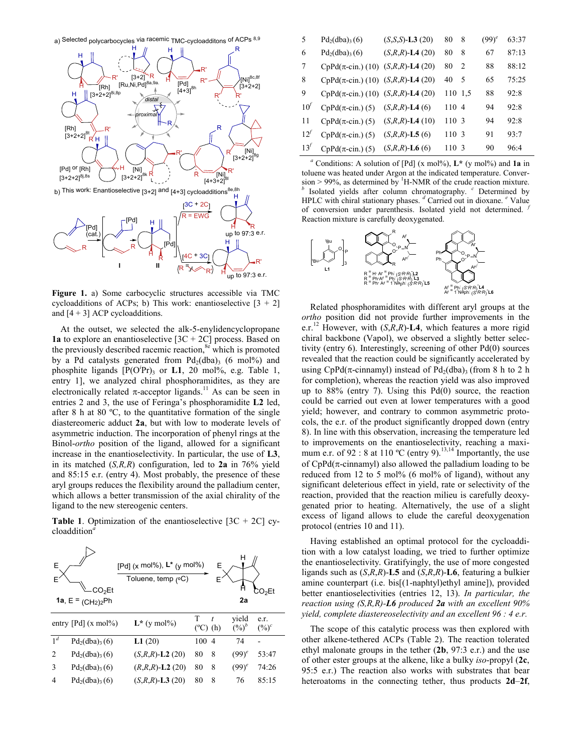

**Figure 1.** a) Some carbocyclic structures accessible via TMC cycloadditions of ACPs; b) This work: enantioselective  $[3 + 2]$ and  $[4 + 3]$  ACP cycloadditions.

At the outset, we selected the alk-5-enylidencyclopropane **1a** to explore an enantioselective  $[3C + 2C]$  process. Based on the previously described racemic reaction, $8e$  which is promoted by a Pd catalysts generated from  $Pd_2(dba)$ <sub>3</sub> (6 mol%) and phosphite ligands  $[P(O<sup>i</sup>Pr)_{3}$  or **L1**, 20 mol%, e.g. Table 1, entry 1], we analyzed chiral phosphoramidites, as they are electronically related  $\pi$ -acceptor ligands.<sup>11</sup> As can be seen in entries 2 and 3, the use of Feringa's phosphoramidite **L2** led, after 8 h at 80 ºC, to the quantitative formation of the single diastereomeric adduct **2a**, but with low to moderate levels of asymmetric induction. The incorporation of phenyl rings at the Binol-*ortho* position of the ligand, allowed for a significant increase in the enantioselectivity. In particular, the use of **L3**, in its matched (*S,R,R*) configuration, led to **2a** in 76% yield and 85:15 e.r. (entry 4). Most probably, the presence of these aryl groups reduces the flexibility around the palladium center, which allows a better transmission of the axial chirality of the ligand to the new stereogenic centers.

**Table 1.** Optimization of the enantioselective  $[3C + 2C]$  cycloaddition*<sup>a</sup>*

| E              | CO <sub>2</sub> Et<br>1a, $E = (CH2)2Ph$ | [Pd] $(x \text{ mol}\%)$ , $L^*$ $(y \text{ mol}\%)$<br>Toluene, temp (°C) |                        | Е              | 2a                | ጋO <sub>2</sub> Et |
|----------------|------------------------------------------|----------------------------------------------------------------------------|------------------------|----------------|-------------------|--------------------|
|                | entry $[{\rm Pd}]$ (x mol%)              | $L^*$ (y mol%)                                                             | T<br>$(^{\circ}C)$ (h) | t              | yield<br>$(\%)^b$ | e.r.<br>$(\%)^c$   |
| $1^d$          | $Pd_2(dba)_{3}(6)$                       | L1(20)                                                                     | 100                    | $\overline{4}$ | 74                |                    |
| $\mathfrak{D}$ | $Pd_2(dba)_{3}(6)$                       | $(S,R,R)$ -L2 (20)                                                         | 80                     | 8              | $(99)^e$          | 53:47              |
| 3              | $Pd_2(dba)_{3}(6)$                       | $(R,R,R)$ -L2 (20)                                                         | 80                     | 8              | $(99)^e$          | 74:26              |
| 4              | $Pd_2(dba)_{3}(6)$                       | $(S,R,R)$ - <b>L3</b> (20)                                                 | 80                     | 8              | 76                | 85:15              |

| 5               | $Pd_2(dba)_{3}(6)$                                       | $(S, S, S)$ - <b>L3</b> (20) | 80      | 8  | $(99)^e$ | 63:37 |
|-----------------|----------------------------------------------------------|------------------------------|---------|----|----------|-------|
| 6               | $Pd_2(dba)_{3}(6)$                                       | $(S,R,R)$ -L4 $(20)$         | 80      | 8  | 67       | 87:13 |
| 7               | $CpPd(\pi\text{-cin.})$ (10)                             | $(S,R,R)$ -L4 $(20)$         | 80      | 2  | 88       | 88:12 |
| 8               | CpPd( $\pi$ -cin.) (10) ( <i>S,R,R</i> )- <b>L4</b> (20) |                              | 40      | .5 | 65       | 75:25 |
| 9               | CpPd( $\pi$ -cin.) (10) (S,R,R)-L4 (20)                  |                              | 110 1.5 |    | 88       | 92:8  |
| 10 <sup>7</sup> | $CpPd(\pi\text{-cin.})$ (5)                              | $(S,R,R)$ -L4 (6)            | 1104    |    | 94       | 92:8  |
| 11              | $CpPd(\pi \text{-cin.})$ (5)                             | $(S, R, R)$ -L4 (10)         | 110 3   |    | 94       | 92:8  |
| $12^{j}$        | $CpPd(\pi\text{-cin.})$ (5)                              | $(S,R,R)$ - <b>L5</b> (6)    | 110 3   |    | 91       | 93:7  |
| 13 <sup>J</sup> | $CpPd(\pi\text{-cin.})$ (5)                              | $(S,R,R)$ -L6 (6)            | 110 3   |    | 90       | 96:4  |

<sup>*a*</sup> Conditions: A solution of [Pd] (x mol%),  $L^*$  (y mol%) and **1a** in toluene was heated under Argon at the indicated temperature. Conversion > 99%, as determined by  $\mathrm{^{1}H\text{-}NMR}$  of the crude reaction mixture. Isolated yields after column chromatography. <sup>*c*</sup> Determined by HPLC with chiral stationary phases. *<sup>d</sup>* Carried out in dioxane. *<sup>e</sup>* Value of conversion under parenthesis. Isolated yield not determined. *<sup>f</sup>* Reaction mixture is carefully deoxygenated.



Related phosphoramidites with different aryl groups at the *ortho* position did not provide further improvements in the e.r.<sup>12</sup> However, with (*S*,*R*,*R*)-**L4**, which features a more rigid chiral backbone (Vapol), we observed a slightly better selectivity (entry 6). Interestingly, screening of other Pd(0) sources revealed that the reaction could be significantly accelerated by using CpPd( $\pi$ -cinnamyl) instead of Pd<sub>2</sub>(dba)<sub>3</sub> (from 8 h to 2 h for completion), whereas the reaction yield was also improved up to 88% (entry 7). Using this Pd(0) source, the reaction could be carried out even at lower temperatures with a good yield; however, and contrary to common asymmetric protocols, the e.r. of the product significantly dropped down (entry 8). In line with this observation, increasing the temperature led to improvements on the enantioselectivity, reaching a maximum e.r. of 92 : 8 at 110 °C (entry 9).<sup>13,14</sup> Importantly, the use of  $CpPd(\pi$ -cinnamyl) also allowed the palladium loading to be reduced from 12 to 5 mol% (6 mol% of ligand), without any significant deleterious effect in yield, rate or selectivity of the reaction, provided that the reaction milieu is carefully deoxygenated prior to heating. Alternatively, the use of a slight excess of ligand allows to elude the careful deoxygenation protocol (entries 10 and 11).

Having established an optimal protocol for the cycloaddition with a low catalyst loading, we tried to further optimize the enantioselectivity. Gratifyingly, the use of more congested ligands such as (*S*,*R*,*R*)-**L5** and (*S*,*R*,*R*)-**L6**, featuring a bulkier amine counterpart (i.e. bis[(1-naphtyl)ethyl amine]), provided better enantioselectivities (entries 12, 13). *In particular, the reaction using (S,R,R)-L6 produced 2a with an excellent 90% yield, complete diastereoselectivity and an excellent 96 : 4 e.r.*

The scope of this catalytic process was then explored with other alkene-tethered ACPs (Table 2). The reaction tolerated ethyl malonate groups in the tether (**2b**, 97:3 e.r.) and the use of other ester groups at the alkene, like a bulky *iso*-propyl (**2c**, 95:5 e.r.) The reaction also works with substrates that bear heteroatoms in the connecting tether, thus products **2d**–**2f**,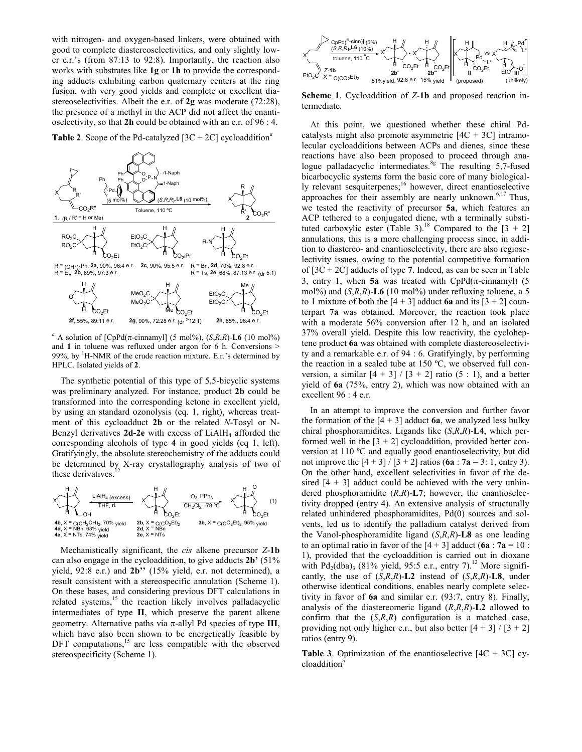with nitrogen- and oxygen-based linkers, were obtained with good to complete diastereoselectivities, and only slightly lower e.r.'s (from 87:13 to 92:8). Importantly, the reaction also works with substrates like **1g** or **1h** to provide the corresponding adducts exhibiting carbon quaternary centers at the ring fusion, with very good yields and complete or excellent diastereoselectivities. Albeit the e.r. of **2g** was moderate (72:28), the presence of a methyl in the ACP did not affect the enantioselectivity, so that **2h** could be obtained with an e.r. of 96 : 4.

**Table 2.** Scope of the Pd-catalyzed  $[3C + 2C]$  cycloaddition<sup>a</sup>



<sup>*a*</sup> A solution of [CpPd( $\pi$ -cinnamyl] (5 mol%), (*S,R,R*)-**L6** (10 mol%) and **1** in toluene was refluxed under argon for 6 h. Conversions > 99%, by <sup>1</sup>H-NMR of the crude reaction mixture. E.r.'s determined by HPLC. Isolated yields of **2**.

The synthetic potential of this type of 5,5-bicyclic systems was preliminary analyzed. For instance, product **2b** could be transformed into the corresponding ketone in excellent yield, by using an standard ozonolysis (eq. 1, right), whereas treatment of this cycloadduct **2b** or the related *N*-Tosyl or N-Benzyl derivatives 2d-2e with excess of LiAlH<sub>4</sub> afforded the corresponding alcohols of type **4** in good yields (eq 1, left). Gratifyingly, the absolute stereochemistry of the adducts could be determined by X-ray crystallography analysis of two of these derivatives  $\frac{12}{2}$ these derivatives.



Mechanistically significant, the *cis* alkene precursor *Z*-**1b**  can also engage in the cycloaddition, to give adducts **2b'** (51% yield, 92:8 e.r.) and **2b''** (15% yield, e.r. not determined), a result consistent with a stereospecific annulation (Scheme 1). On these bases, and considering previous DFT calculations in related systems,<sup>15</sup> the reaction likely involves palladacyclic intermediates of type **II**, which preserve the parent alkene geometry. Alternative paths via  $\pi$ -allyl Pd species of type **III**, which have also been shown to be energetically feasible by DFT computations,<sup>15</sup> are less compatible with the observed stereospecificity (Scheme 1).



**Scheme 1**. Cycloaddition of *Z*-**1b** and proposed reaction intermediate.

At this point, we questioned whether these chiral Pdcatalysts might also promote asymmetric  $[4C + 3C]$  intramolecular cycloadditions between ACPs and dienes, since these reactions have also been proposed to proceed through analogue palladacyclic intermediates.<sup>8g</sup> The resulting 5,7-fused bicarbocyclic systems form the basic core of many biologically relevant sesquiterpenes;<sup>16</sup> however, direct enantioselective approaches for their assembly are nearly unknown.<sup>6,17</sup> Thus, we tested the reactivity of precursor **5a**, which features an ACP tethered to a conjugated diene, wth a terminally substituted carboxylic ester (Table 3).<sup>18</sup> Compared to the  $[3 + 2]$ annulations, this is a more challenging process since, in addition to diastereo- and enantioselectivity, there are also regioselectivity issues, owing to the potential competitive formation of [3C + 2C] adducts of type **7**. Indeed, as can be seen in Table 3, entry 1, when **5a** was treated with  $CpPd(\pi$ -cinnamyl) (5 mol%) and (*S*,*R*,*R*)-**L6** (10 mol%) under refluxing toluene, a 5 to 1 mixture of both the  $[4 + 3]$  adduct **6a** and its  $[3 + 2]$  counterpart **7a** was obtained. Moreover, the reaction took place with a moderate 56% conversion after 12 h, and an isolated 37% overall yield. Despite this low reactivity, the cycloheptene product **6a** was obtained with complete diastereoselectivity and a remarkable e.r. of 94 : 6. Gratifyingly, by performing the reaction in a sealed tube at 150 ºC, we observed full conversion, a similar  $[4 + 3] / [3 + 2]$  ratio (5 : 1), and a better yield of **6a** (75%, entry 2), which was now obtained with an excellent 96 : 4 e.r.

In an attempt to improve the conversion and further favor the formation of the  $[4 + 3]$  adduct **6a**, we analyzed less bulky chiral phosphoramidites. Ligands like (*S*,*R*,*R*)-**L4**, which performed well in the  $[3 + 2]$  cycloaddition, provided better conversion at 110 ºC and equally good enantioselectivity, but did not improve the  $[4 + 3] / [3 + 2]$  ratios (**6a** : **7a** = 3: 1, entry 3). On the other hand, excellent selectivities in favor of the desired  $[4 + 3]$  adduct could be achieved with the very unhindered phosphoramidite (*R*,*R*)-**L7**; however, the enantioselectivity dropped (entry 4). An extensive analysis of structurally related unhindered phosphoramidites, Pd(0) sources and solvents, led us to identify the palladium catalyst derived from the Vanol-phosphoramidite ligand (*S*,*R*,*R*)-**L8** as one leading to an optimal ratio in favor of the  $[4 + 3]$  adduct (**6a** :  $7a = 10$  : 1), provided that the cycloaddition is carried out in dioxane with Pd<sub>2</sub>(dba)<sub>3</sub> (81% yield, 95:5 e.r., entry 7).<sup>12</sup> More significantly, the use of (*S*,*R*,*R*)-**L2** instead of (*S*,*R*,*R*)-**L8**, under otherwise identical conditions, enables nearly complete selectivity in favor of **6a** and similar e.r. (93:7, entry 8). Finally, analysis of the diastereomeric ligand (*R*,*R*,*R*)-**L2** allowed to confirm that the (*S*,*R*,*R*) configuration is a matched case, providing not only higher e.r., but also better  $[4 + 3] / [3 + 2]$ ratios (entry 9).

**Table 3**. Optimization of the enantioselective [4C + 3C] cycloaddition*<sup>a</sup>*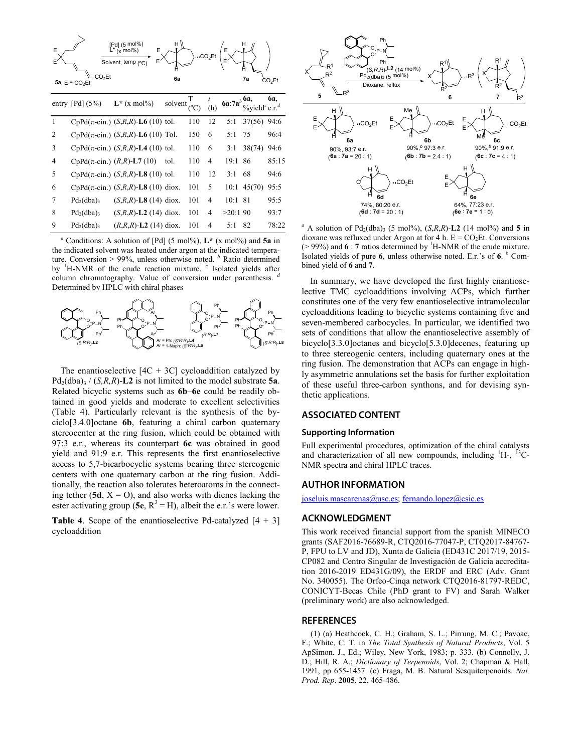| E              | CO <sub>2</sub> Et<br>$5a$ , $E = CO2Et$ | [Pd] (5 mol%)<br>E<br>$(x \mod 96)$<br>Solvent, temp (°C' | 6a      | CO <sub>2</sub> Et |     |         | 7a                                              | CO <sub>2</sub> Et |
|----------------|------------------------------------------|-----------------------------------------------------------|---------|--------------------|-----|---------|-------------------------------------------------|--------------------|
|                | entry [Pd] $(5%)$                        | $L^*$ (x mol%)                                            | solvent | $\sqrt{2}$         | (h) | 6a:7:   | 6a,<br>$\%$ vield $^c$ e.r. <sup><i>d</i></sup> | 6a,                |
| $\mathbf{1}$   |                                          | CpPd( $\pi$ -cin.) ( <i>S,R,R</i> )- <b>L6</b> (10) tol.  |         | 110                | 12  | 5:1     | 37(56)                                          | 94:6               |
| $\overline{c}$ |                                          | CpPd( $\pi$ -cin.) (S,R,R)-L6 (10) Tol.                   |         | 150                | 6   | 5:1     | 75                                              | 96:4               |
| 3              |                                          | CpPd( $\pi$ -cin.) (S,R,R)-L4 (10) tol.                   |         | 110                | 6   | 3:1     | 38(74)                                          | 94:6               |
| $\overline{4}$ |                                          | CpPd( $\pi$ -cin.) (R,R)-L7 (10)                          | tol.    | 110                | 4   | 19:1    | 86                                              | 85:15              |
| 5              |                                          | CpPd( $\pi$ -cin.) (S,R,R)-L8 (10) tol.                   |         | 110                | 12  | 3:1     | 68                                              | 94:6               |
| 6              |                                          | CpPd( $\pi$ -cin.) (S,R,R)-L8 (10) diox.                  |         | 101                | 5   |         | $10:1$ 45(70)                                   | 95:5               |
| 7              | $Pd_2(dba)$                              | $(S, R, R)$ - <b>L8</b> (14) diox.                        |         | 101                | 4   | 10:1    | 81                                              | 95:5               |
| 8              | $Pd_2(dba)$                              | $(S, R, R)$ - <b>L2</b> (14) diox.                        |         | 101                | 4   | >20:190 |                                                 | 93:7               |
| 9              | $Pd_2(dba)$                              | $(R, R, R)$ - <b>L2</b> (14) diox.                        |         | 101                | 4   | 5:1     | 82                                              | 78:22              |

*<sup>a</sup>* Conditions: A solution of [Pd] (5 mol%), **L\*** (x mol%) and **5a** in the indicated solvent was heated under argon at the indicated temperature. Conversion > 99%, unless otherwise noted. *<sup>b</sup>* Ratio determined by <sup>1</sup>H-NMR of the crude reaction mixture. <sup>c</sup> Isolated yields after column chromatography. Value of conversion under parenthesis. *<sup>d</sup>* Determined by HPLC with chiral phases



The enantioselective  $[4C + 3C]$  cycloaddition catalyzed by  $Pd_2(dba)$ <sub>3</sub> / (*S,R,R*)-**L2** is not limited to the model substrate **5a**. Related bicyclic systems such as **6b**–**6e** could be readily obtained in good yields and moderate to excellent selectivities (Table 4). Particularly relevant is the synthesis of the byciclo[3.4.0]octane **6b**, featuring a chiral carbon quaternary stereocenter at the ring fusion, which could be obtained with 97:3 e.r., whereas its counterpart **6c** was obtained in good yield and 91:9 e.r. This represents the first enantioselective access to 5,7-bicarbocyclic systems bearing three stereogenic centers with one quaternary carbon at the ring fusion. Additionally, the reaction also tolerates heteroatoms in the connecting tether  $(5d, X = 0)$ , and also works with dienes lacking the ester activating group (5e,  $R^3 = H$ ), albeit the e.r.'s were lower.

**Table 4**. Scope of the enantioselective Pd-catalyzed [4 + 3] cycloaddition



 $^{a}$  A solution of Pd<sub>2</sub>(dba)<sub>3</sub> (5 mol%), (*S,R,R*)-**L2** (14 mol%) and 5 in dioxane was refluxed under Argon at for 4 h.  $E = CO<sub>2</sub>Et$ . Conversions  $($  > 99%) and **6** : **7** ratios determined by <sup>1</sup>H-NMR of the crude mixture. Isolated yields of pure **6**, unless otherwise noted. E.r.'s of **6**. *<sup>b</sup>* Combined yield of **6** and **7**.

In summary, we have developed the first highly enantioselective TMC cycloadditions involving ACPs, which further constitutes one of the very few enantioselective intramolecular cycloadditions leading to bicyclic systems containing five and seven-membered carbocycles. In particular, we identified two sets of conditions that allow the enantioselective assembly of bicyclo[3.3.0]octanes and bicyclo[5.3.0]decenes, featuring up to three stereogenic centers, including quaternary ones at the ring fusion. The demonstration that ACPs can engage in highly asymmetric annulations set the basis for further exploitation of these useful three-carbon synthons, and for devising synthetic applications.

#### **ASSOCIATED CONTENT**

#### **Supporting Information**

Full experimental procedures, optimization of the chiral catalysts and characterization of all new compounds, including  ${}^{1}H$ -,  ${}^{13}C$ -NMR spectra and chiral HPLC traces.

### **AUTHOR INFORMATION**

[joseluis.mascarenas@usc.es;](mailto:joseluis.mascarenas@usc.es) [fernando.lopez@csic.es](mailto:fernando.lopez@csic.es)

### **ACKNOWLEDGMENT**

This work received financial support from the spanish MINECO grants (SAF2016-76689-R, CTQ2016-77047-P, CTQ2017-84767- P, FPU to LV and JD), Xunta de Galicia (ED431C 2017/19, 2015- CP082 and Centro Singular de Investigación de Galicia accreditation 2016-2019 ED431G/09), the ERDF and ERC (Adv. Grant No. 340055). The Orfeo-Cinqa network CTQ2016-81797-REDC, CONICYT-Becas Chile (PhD grant to FV) and Sarah Walker (preliminary work) are also acknowledged.

## **REFERENCES**

(1) (a) Heathcock, C. H.; Graham, S. L.; Pirrung, M. C.; Pavoac, F.; White, C. T. in *The Total Synthesis of Natural Products*, Vol. 5 ApSimon. J., Ed.; Wiley, New York, 1983; p. 333. (b) Connolly, J. D.; Hill, R. A.; *Dictionary of Terpenoids*, Vol. 2; Chapman & Hall, 1991, pp 655-1457. (c) Fraga, M. B. Natural Sesquiterpenoids. *Nat. Prod. Rep*. **2005**, 22, 465-486.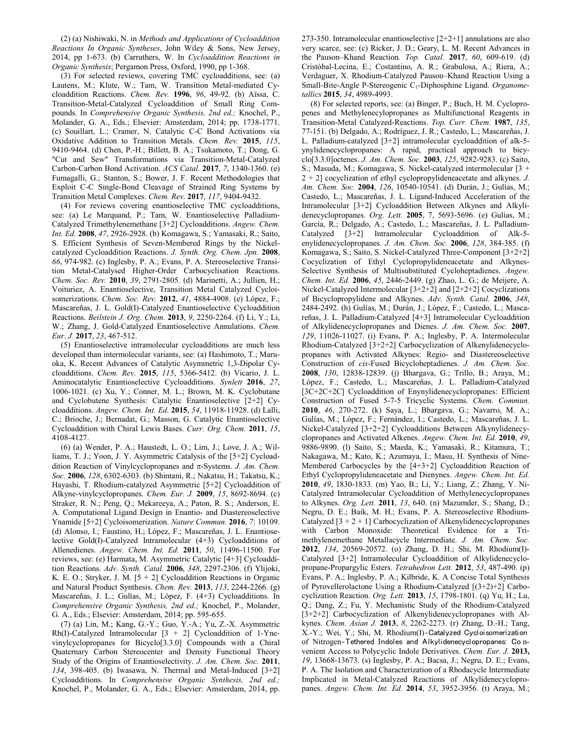(2) (a) Nishiwaki, N. in *Methods and Applications of Cycloaddition Reactions In Organic Syntheses*, John Wiley & Sons, New Jersey, 2014, pp 1-673. (b) Carruthers, W. In *Cycloaddition Reactions in Organic Synthesis*; Pergamon Press, Oxford, 1990, pp 1-368.

(3) For selected reviews, covering TMC cycloadditions, see: (a) Lautens, M.; Klute, W.; Tam, W. Transition Metal-mediated Cycloaddition Reactions. *Chem. Rev.* **1996**, *96*, 49-92. (b) Aïssa, C. Transition-Metal-Catalyzed Cycloaddition of Small Ring Compounds. In *Comprehensive Organic Synthesis, 2nd ed.;* Knochel, P., Molander, G. A., Eds.; Elsevier: Amsterdam, 2014; pp. 1738-1771. (c) Souillart, L.; Cramer, N. Catalytic C-C Bond Activations via Oxidative Addition to Transition Metals. *Chem. Rev.* **2015**, *115*, 9410-9464. (d) Chen, P.-H.; Billett, B. A.; Tsukamoto, T.; Dong, G. "Cut and Sew" Transformations via Transition-Metal-Catalyzed Carbon-Carbon Bond Activation. *ACS Catal.* **2017**, *7*, 1340-1360. (e) Fumagalli, G.; Stanton, S.; Bower, J. F. Recent Methodologies that Exploit C-C Single-Bond Cleavage of Strained Ring Systems by Transition Metal Complexes. *Chem. Rev.* **2017**, *117*, 9404-9432.

(4) For reviews covering enantioselective TMC cycloadditions, see: (a) Le Marquand, P.; Tam, W. Enantioselective Palladium-Catalyzed Trimethylenemethane [3+2] Cycloadditions. *Angew. Chem. Int. Ed.* **2008**, *47*, 2926-2928. (b) Komagawa, S.; Yamasaki, R.; Saito, S. Efficient Synthesis of Seven-Membered Rings by the Nickelcatalyzed Cycloaddition Reactions. *J. Synth. Org. Chem. Jpn.* **2008**, *66*, 974-982. (c) Inglesby, P. A.; Evans, P. A. Stereoselective Transition Metal-Catalysed Higher-Order Carbocyclisation Reactions. *Chem. Soc. Rev.* **2010**, *39*, 2791-2805. (d) Marinetti, A.; Jullien, H.; Voituriez, A. Enantioselective, Transition Metal Catalyzed Cycloisomerizations. *Chem. Soc. Rev.* **2012**, *41*, 4884-4908. (e) López, F.; Mascareñas, J. L. Gold(I)-Catalyzed Enantioselective Cycloaddition Reactions. *Beilstein J. Org. Chem.* **2013**, *9*, 2250-2264. (f) Li, Y.; Li, W.; Zhang, J. Gold-Catalyzed Enantioselective Annulations. *Chem. Eur. J.* **2017**, *23*, 467-512.

(5) Enantioselective intramolecular cycloadditions are much less developed than intermolecular variants, see: (a) Hashimoto, T.; Maruoka, K. Recent Advances of Catalytic Asymmetric 1,3-Dipolar Cycloadditions. *Chem. Rev.* **2015**, *115*, 5366-5412. (b) Vicario, J. L. Aminocatalytic Enantioselective Cycloadditions. *Synlett* **2016**, *27*, 1006-1021. (c) Xu, Y.; Conner, M. L.; Brown, M. K. Cyclobutane and Cyclobutene Synthesis: Catalytic Enantioselective [2+2] Cycloadditions. *Angew. Chem. Int. Ed*. **2015**, *54*, 11918-11928. (d) Lalli, C.; Brioche, J.; Bernadat, G.; Masson, G. Catalytic Enantioselective Cycloaddition with Chiral Lewis Bases. *Curr. Org. Chem.* **2011**, *15*, 4108-4127.

(6) (a) Wender, P. A.; Haustedt, L. O.; Lim, J.; Love, J. A.; Williams, T. J.; Yoon, J. Y. Asymmetric Catalysis of the [5+2] Cycloaddition Reaction of Vinylcyclopropanes and  $\pi$ -Systems. *J. Am. Chem. Soc.* **2006**, *128*, 6302-6303. (b) Shintani, R.; Nakatsu, H.; Takatsu, K.; Hayashi, T. Rhodium-catalyzed Asymmetric [5+2] Cycloaddition of Alkyne-vinylcyclopropanes. *Chem. Eur. J.* **2009**, *15*, 8692-8694. (c) Straker, R. N.; Peng, Q.; Mekareeya, A.; Paton, R. S.; Anderson, E. A. Computational Ligand Design in Enantio- and Diastereoselective Ynamide [5+2] Cycloisomerization. *Nature Commun.* **2016**, *7*: 10109. (d) Alonso, I.; Faustino, H.; López, F.; Mascareñas, J. L. Enantioselective Gold(I)-Catalyzed Intramolecular (4+3) Cycloadditions of Allenedienes. *Angew. Chem. Int. Ed.* **2011**, *50*, 11496-11500. For reviews, see: (e) Harmata, M. Asymmetric Catalytic [4+3] Cycloaddition Reactions. *Adv. Synth. Catal.* **2006**, *348*, 2297-2306. (f) Ylijoki, K. E. O.; Stryker, J. M. [5 + 2] Cycloaddition Reactions in Organic and Natural Product Synthesis. *Chem. Rev.* **2013**, *113*, 2244-2266. (g) Mascareñas, J. L.; Gulías, M.; López, F. (4+3) Cycloadditions. In *Comprehensive Organic Synthesis, 2nd ed.;* Knochel, P., Molander, G. A., Eds.; Elsevier: Amsterdam, 2014; pp. 595-655.

(7) (a) Lin, M.; Kang, G.-Y.; Guo, Y.-A.; Yu, Z.-X. Asymmetric Rh(I)-Catalyzed Intramolecular  $[3 + 2]$  Cycloaddition of 1-Ynevinylcyclopropanes for Bicyclo[3.3.0] Compounds with a Chiral Quaternary Carbon Stereocenter and Density Functional Theory Study of the Origins of Enantioselectivity. *J. Am. Chem. Soc.* **2011**, *134*, 398-405. (b) Iwasawa, N. Thermal and Metal-Induced [3+2] Cycloadditions. In *Comprehensive Organic Synthesis, 2nd ed.;* Knochel, P., Molander, G. A., Eds.; Elsevier: Amsterdam, 2014, pp.

273-350. Intramolecular enantioselective [2+2+1] annulations are also very scarce, see: (c) Ricker, J. D.; Geary, L. M. Recent Advances in the Pauson–Khand Reaction*. Top. Catal.* **2017**, *60*, 609-619. (d) Cristóbal-Lecina, E.; Costantino, A. R.; Grabulosa, A.; Riera, A.; Verdaguer, X. Rhodium-Catalyzed Pauson–Khand Reaction Using a Small-Bite-Angle P-Stereogenic C1-Diphosphine Ligand. *Organometallics* **2015**, *34*, 4989-4993.

(8) For selected reports, see: (a) Binger, P.; Buch, H. M. Cyclopropenes and Methylenecylopropanes as Multifunctional Reagents in Transition-Metal Catalyzed-Reactions. *Top. Curr. Chem.* **1987**, *135*, 77-151. (b) Delgado, A.; Rodríguez, J. R.; Castedo, L.; Mascareñas, J. L. Palladium-catalyzed [3+2] intramolecular cycloaddition of alk-5 ynylidenecyclopropanes: A rapid, practical approach to bicyclo[3.3.0]octenes. *J. Am. Chem. Soc.* **2003**, *125*, 9282-9283. (c) Saito, S.; Masuda, M.; Komagawa, S. Nickel-catalyzed intermolecular [3 + 2 + 2] cocyclization of ethyl cyclopropylideneacetate and alkynes. *J. Am. Chem. Soc.* **2004**, *126*, 10540-10541. (d) Durán, J.; Gulías, M.; Castedo, L.; Mascareñas, J. L. Ligand-Induced Acceleration of the Intramolecular [3+2] Cycloaddition Between Alkynes and Alkylidenecyclopropanes. *Org. Lett.* **2005**, 7, 5693-5696. (e) Gulías, M.; García, R.; Delgado, A.; Castedo, L.; Mascareñas, J. L. Palladium-Catalyzed [3+2] Intramolecular Cycloaddition of Alk-5 enylidenecyclopropanes. *J. Am. Chem. Soc.* **2006**, *128*, 384-385. (f) Komagawa, S.; Saito, S. Nickel-Catalyzed Three-Component [3+2+2] Cocyclization of Ethyl Cyclopropylideneacetate and Alkynes-Selective Synthesis of Multisubstituted Cycloheptadienes. *Angew. Chem. Int. Ed.* **2006**, *45*, 2446-2449. (g) Zhao, L. G.; de Meijere, A. Nickel-Catalyzed Intermolecular [3+2+2] and [2+2+2] Cocyclizations of Bicyclopropylidene and Alkynes. *Adv. Synth. Catal.* **2006**, *348*, 2484-2492. (h) Gulías, M.; Durán, J.; López, F.; Castedo, L.; Mascareñas, J. L. Palladium-Catalyzed [4+3] Intramolecular Cycloaddition of Alkylidenecyclopropanes and Dienes. *J. Am. Chem. Soc.* **2007**, *129*, 11026-11027. (i) Evans, P. A.; Inglesby, P. A. Intermolecular Rhodium-Catalyzed [3+2+2] Carbocyclization of Alkenylidenecyclopropanes with Activated Alkynes: Regio- and Diastereoselective Construction of *cis*-Fused Bicycloheptadienes. *J. Am. Chem. Soc.*  **2008**, *130*, 12838-12839. (j) Bhargava, G.; Trillo, B.; Araya, M.; López, F.; Castedo, L.; Mascareñas, J. L. Palladium-Catalyzed [3C+2C+2C] Cycloaddition of Enynylidenecyclopropanes: Efficient Construction of Fused 5-7-5 Tricyclic Systems. *Chem. Commun.*  **2010**, *46*, 270-272. (k) Saya, L.; Bhargava, G.; Navarro, M. A.; Gulías, M.; López, F.; Fernández, I.; Castedo, L.; Mascareñas, J. L. Nickel-Catalyzed [3+2+2] Cycloadditions Between Alkynylidenecyclopropanes and Activated Alkenes. *Angew. Chem. Int. Ed.* **2010**, *49*, 9886-9890. (l) Saito, S.; Maeda, K.; Yamasaki, R.; Kitamura, T.; Nakagawa, M.; Kato, K.; Azumaya, I.; Masu, H. Synthesis of Nine-Membered Carbocycles by the [4+3+2] Cycloaddition Reaction of Ethyl Cyclopropylideneacetate and Dienynes. *Angew. Chem. Int. Ed.*  **2010**, *49*, 1830-1833*.* (m) Yao, B.; Li, Y.; Liang, Z.; Zhang, Y. Ni-Catalyzed Intramolecular Cycloaddition of Methylenecyclopropanes to Alkynes. *Org. Lett.* **2011**, *13*, 640. (n) Mazumder, S.; Shang, D.; Negru, D. E.; Baik, M. H.; Evans, P. A. Stereoselective Rhodium-Catalyzed  $[3 + 2 + 1]$  Carbocyclization of Alkenylidenecyclopropanes with Carbon Monoxide: Theoretical Evidence for a Trimethylenemethane Metallacycle Intermediate. *J. Am. Chem. Soc.*  **2012**, *134*, 20569-20572. (o) Zhang, D. H.; Shi, M. Rhodium(I)- Catalyzed [3+2] Intramolecular Cycloaddition of Alkylidenecyclopropane-Propargylic Esters. *Tetrahedron Lett.* **2012**, *53*, 487-490. (p) Evans, P. A.; Inglesby, P. A.; Kilbride, K. A Concise Total Synthesis of Pyrovellerolactone Using a Rhodium-Catalyzed [(3+2)+2] Carbocyclization Reaction. *Org. Lett.* **2013**, *15*, 1798-1801. (q) Yu, H.; Lu, Q.; Dang, Z.; Fu, Y. Mechanistic Study of the Rhodium-Catalyzed [3+2+2] Carbocyclization of Alkenylidenecyclopropanes with Alkynes. *Chem. Asian J.* **2013**, *8*, 2262-2273. (r) Zhang, D.-H.; Tang, X.-Y.; Wei, Y.; Shi, M. Rhodium(I)‐Catalyzed Cycloisomerization of Nitrogen‐Tethered Indoles and Alkylidenecyclopropanes: Co nvenient Access to Polycyclic Indole Derivatives. *Chem. Eur. J.* **2013,** *19*, 13668-13673. (s) Inglesby, P. A.; Bacsa, J.; Negru, D. E.; Evans, P. A. The Isolation and Characterization of a Rhodacycle Intermediate Implicated in Metal-Catalyzed Reactions of Alkylidenecyclopropanes. *Angew. Chem. Int. Ed.* **2014**, *53*, 3952-3956. (t) Araya, M.;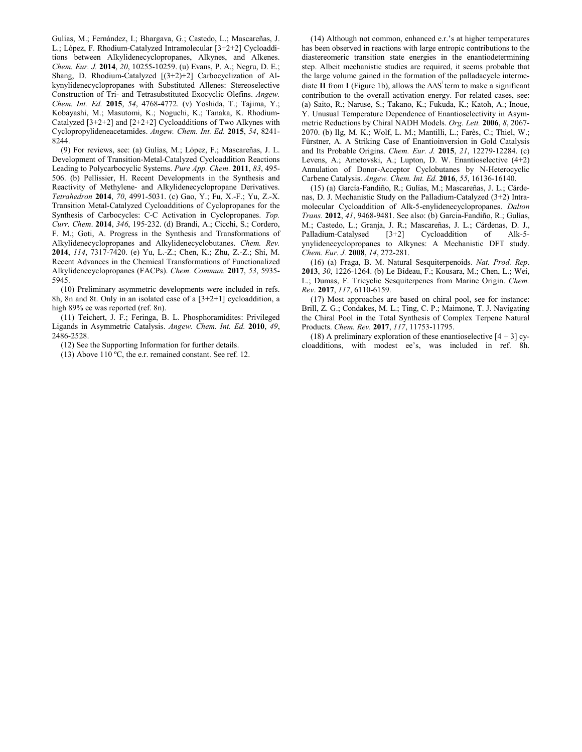Gulías, M.; Fernández, I.; Bhargava, G.; Castedo, L.; Mascareñas, J. L.; López, F. Rhodium-Catalyzed Intramolecular [3+2+2] Cycloadditions between Alkylidenecyclopropanes, Alkynes, and Alkenes. *Chem. Eur. J.* **2014**, *20*, 10255-10259. (u) Evans, P. A.; Negru, D. E.; Shang, D. Rhodium-Catalyzed [(3+2)+2] Carbocyclization of Alkynylidenecyclopropanes with Substituted Allenes: Stereoselective Construction of Tri- and Tetrasubstituted Exocyclic Olefins. *Angew. Chem. Int. Ed.* **2015**, *54*, 4768-4772. (v) Yoshida, T.; Tajima, Y.; Kobayashi, M.; Masutomi, K.; Noguchi, K.; Tanaka, K. Rhodium-Catalyzed  $[3+2+2]$  and  $[2+2+2]$  Cycloadditions of Two Alkynes with Cyclopropylideneacetamides. *Angew. Chem. Int. Ed.* **2015**, *54*, 8241- 8244.

(9) For reviews, see: (a) Gulías, M.; López, F.; Mascareñas, J. L. Development of Transition-Metal-Catalyzed Cycloaddition Reactions Leading to Polycarbocyclic Systems. *Pure App. Chem.* **2011**, *83*, 495- 506. (b) Pellissier, H. Recent Developments in the Synthesis and Reactivity of Methylene- and Alkylidenecyclopropane Derivatives. *Tetrahedron* **2014**, *70*, 4991-5031. (c) Gao, Y.; Fu, X.-F.; Yu, Z.-X. Transition Metal-Catalyzed Cycloadditions of Cyclopropanes for the Synthesis of Carbocycles: C-C Activation in Cyclopropanes. *Top. Curr. Chem*. **2014**, *346*, 195-232. (d) Brandi, A.; Cicchi, S.; Cordero, F. M.; Goti, A. Progress in the Synthesis and Transformations of Alkylidenecyclopropanes and Alkylidenecyclobutanes. *Chem. Rev.*  **2014**, *114*, 7317-7420. (e) Yu, L.-Z.; Chen, K.; Zhu, Z.-Z.; Shi, M. Recent Advances in the Chemical Transformations of Functionalized Alkylidenecyclopropanes (FACPs). *Chem. Commun.* **2017**, *53*, 5935- 5945.

(10) Preliminary asymmetric developments were included in refs. 8h, 8n and 8t. Only in an isolated case of a [3+2+1] cycloaddition, a high 89% ee was reported (ref. 8n).

(11) Teichert, J. F.; Feringa, B. L. Phosphoramidites: Privileged Ligands in Asymmetric Catalysis. *Angew. Chem. Int. Ed.* **2010**, *49*, 2486-2528.

(12) See the Supporting Information for further details.

(13) Above 110 ºC, the e.r. remained constant. See ref. 12.

(14) Although not common, enhanced e.r.'s at higher temperatures has been observed in reactions with large entropic contributions to the diastereomeric transition state energies in the enantiodetermining step. Albeit mechanistic studies are required, it seems probable that the large volume gained in the formation of the palladacycle intermediate **II** from **I** (Figure 1b), allows the ∆∆S<sup>‡</sup> term to make a significant contribution to the overall activation energy. For related cases, see: (a) Saito, R.; Naruse, S.; Takano, K.; Fukuda, K.; Katoh, A.; Inoue, Y. Unusual Temperature Dependence of Enantioselectivity in Asymmetric Reductions by Chiral NADH Models. *Org. Lett.* **2006**, *8*, 2067- 2070. (b) Ilg, M. K.; Wolf, L. M.; Mantilli, L.; Farès, C.; Thiel, W.; Fürstner, A. A Striking Case of Enantioinversion in Gold Catalysis and Its Probable Origins. *Chem. Eur. J.* **2015**, *21*, 12279-12284. (c) Levens, A.; Ametovski, A.; Lupton, D. W. Enantioselective (4+2) Annulation of Donor-Acceptor Cyclobutanes by N-Heterocyclic Carbene Catalysis. *Angew. Chem. Int. Ed.* **2016**, *55*, 16136-16140.

(15) (a) García-Fandiño, R.; Gulías, M.; Mascareñas, J. L.; Cárdenas, D. J. Mechanistic Study on the Palladium-Catalyzed (3+2) Intramolecular Cycloaddition of Alk-5-enylidenecyclopropanes. *Dalton Trans.* **2012**, *41*, 9468-9481. See also: (b) Garcia-Fandiño, R.; Gulías, M.; Castedo, L.; Granja, J. R.; Mascareñas, J. L.; Cárdenas, D. J., Palladium-Catalysed  $[3+2]$ ynylidenecyclopropanes to Alkynes: A Mechanistic DFT study. *Chem. Eur. J.* **2008**, *14*, 272-281.

(16) (a) Fraga, B. M. Natural Sesquiterpenoids. *Nat. Prod. Rep*. **2013**, *30*, 1226-1264. (b) Le Bideau, F.; Kousara, M.; Chen, L.; Wei, L.; Dumas, F. Tricyclic Sesquiterpenes from Marine Origin. *Chem. Rev*. **2017**, *117*, 6110-6159.

(17) Most approaches are based on chiral pool, see for instance: Brill, Z. G.; Condakes, M. L.; Ting, C. P.; Maimone, T. J. Navigating the Chiral Pool in the Total Synthesis of Complex Terpene Natural Products. *Chem. Rev.* **2017**, *117*, 11753-11795.

(18) A preliminary exploration of these enantioselective  $[4 + 3]$  cycloadditions, with modest ee's, was included in ref. 8h.